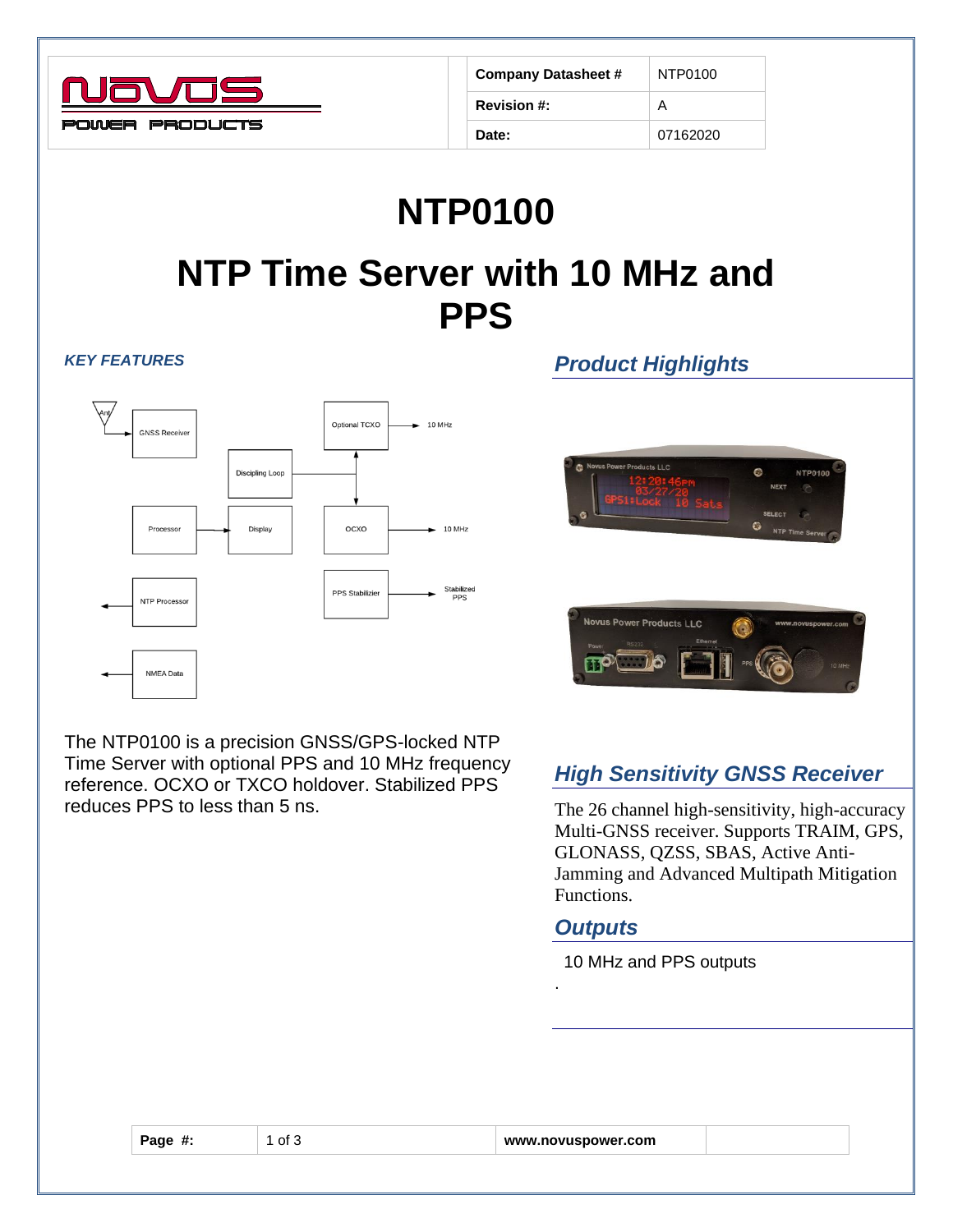

| <b>Company Datasheet #</b> | NTP0100  |  |
|----------------------------|----------|--|
| <b>Revision #:</b>         | А        |  |
| Date:                      | 07162020 |  |

# **NTP0100 NTP Time Server with 10 MHz and PPS**

#### *KEY FEATURES*



The NTP0100 is a precision GNSS/GPS-locked NTP Time Server with optional PPS and 10 MHz frequency reference. OCXO or TXCO holdover. Stabilized PPS reduces PPS to less than 5 ns.

## *Product Highlights*





### *High Sensitivity GNSS Receiver*

The 26 channel high-sensitivity, high-accuracy Multi-GNSS receiver. Supports TRAIM, GPS, GLONASS, QZSS, SBAS, Active Anti-Jamming and Advanced Multipath Mitigation Functions.

#### *Outputs*

.

10 MHz and PPS outputs

| Page #:<br>l of 3<br>www.novuspower.com |  |
|-----------------------------------------|--|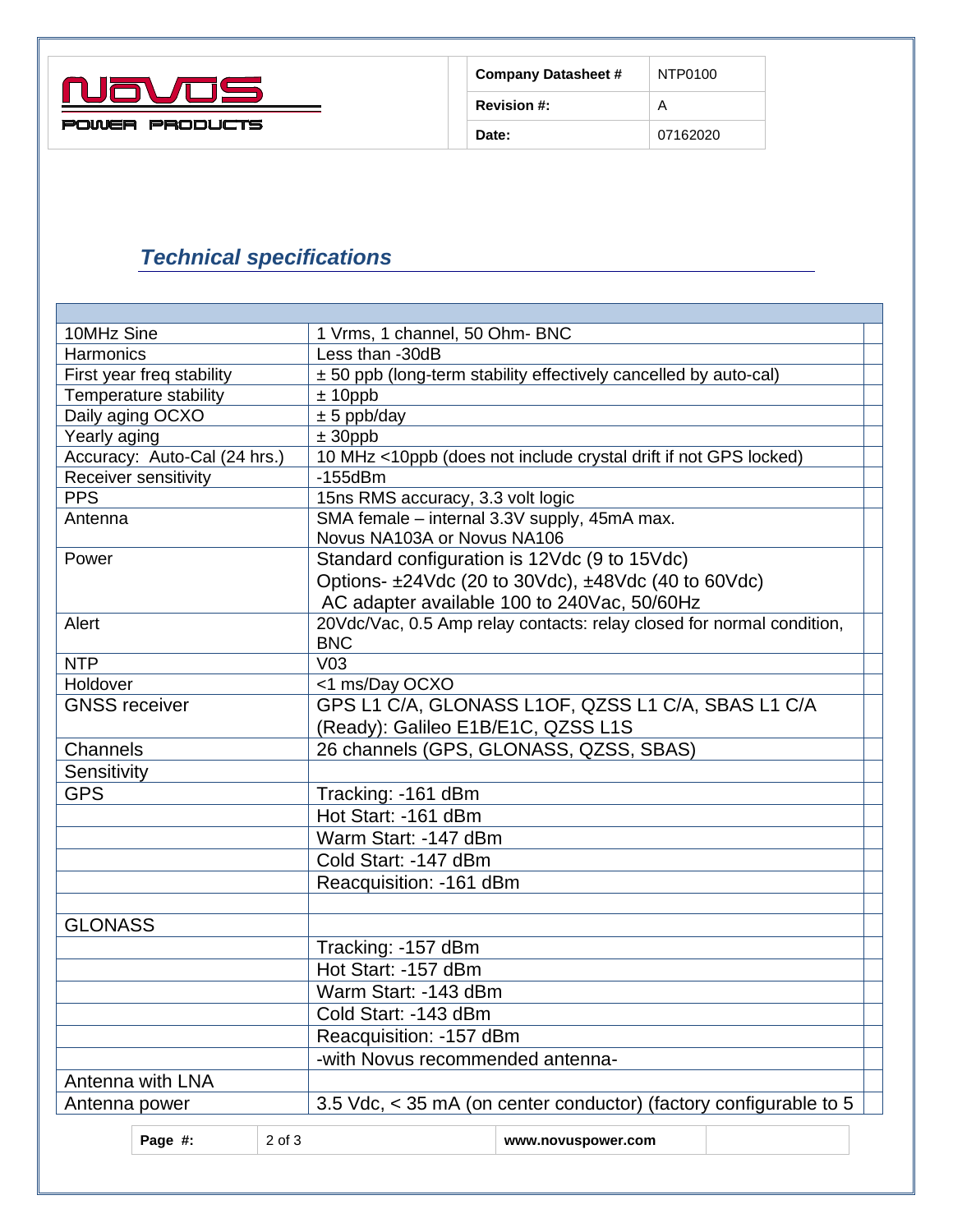

| <b>Company Datasheet #</b> | NTP0100<br>А |  |
|----------------------------|--------------|--|
| <b>Revision #:</b>         |              |  |
| Date:                      | 07162020     |  |

## *Technical specifications*

| 10MHz Sine                         |                                        |                             | 1 Vrms, 1 channel, 50 Ohm- BNC                                        |  |  |
|------------------------------------|----------------------------------------|-----------------------------|-----------------------------------------------------------------------|--|--|
| Harmonics                          |                                        |                             | Less than -30dB                                                       |  |  |
| First year freq stability          |                                        |                             | ± 50 ppb (long-term stability effectively cancelled by auto-cal)      |  |  |
| Temperature stability              |                                        |                             | $± 10$ ppb                                                            |  |  |
| Daily aging OCXO                   |                                        |                             | $± 5$ ppb/day                                                         |  |  |
| Yearly aging                       |                                        |                             | $\pm$ 30ppb                                                           |  |  |
| Accuracy: Auto-Cal (24 hrs.)       |                                        |                             | 10 MHz <10ppb (does not include crystal drift if not GPS locked)      |  |  |
| Receiver sensitivity               |                                        |                             | $-155$ d $Bm$                                                         |  |  |
| <b>PPS</b>                         |                                        |                             | 15ns RMS accuracy, 3.3 volt logic                                     |  |  |
| Antenna                            |                                        |                             | SMA female - internal 3.3V supply, 45mA max.                          |  |  |
|                                    |                                        | Novus NA103A or Novus NA106 |                                                                       |  |  |
| Power                              |                                        |                             | Standard configuration is 12Vdc (9 to 15Vdc)                          |  |  |
|                                    |                                        |                             | Options- ±24Vdc (20 to 30Vdc), ±48Vdc (40 to 60Vdc)                   |  |  |
|                                    |                                        |                             | AC adapter available 100 to 240Vac, 50/60Hz                           |  |  |
| Alert                              |                                        |                             | 20Vdc/Vac, 0.5 Amp relay contacts: relay closed for normal condition, |  |  |
|                                    |                                        |                             | <b>BNC</b>                                                            |  |  |
| <b>NTP</b>                         | V <sub>03</sub>                        |                             |                                                                       |  |  |
| Holdover                           |                                        |                             | <1 ms/Day OCXO                                                        |  |  |
|                                    | <b>GNSS</b> receiver                   |                             | GPS L1 C/A, GLONASS L1OF, QZSS L1 C/A, SBAS L1 C/A                    |  |  |
| (Ready): Galileo E1B/E1C, QZSS L1S |                                        |                             |                                                                       |  |  |
| Channels                           | 26 channels (GPS, GLONASS, QZSS, SBAS) |                             |                                                                       |  |  |
| Sensitivity                        |                                        |                             |                                                                       |  |  |
| <b>GPS</b>                         | Tracking: - 161 dBm                    |                             |                                                                       |  |  |
|                                    | Hot Start: -161 dBm                    |                             |                                                                       |  |  |
|                                    | Warm Start: -147 dBm                   |                             |                                                                       |  |  |
|                                    | Cold Start: -147 dBm                   |                             |                                                                       |  |  |
|                                    |                                        |                             | Reacquisition: -161 dBm                                               |  |  |
|                                    |                                        |                             |                                                                       |  |  |
| <b>GLONASS</b>                     |                                        |                             |                                                                       |  |  |
|                                    |                                        |                             | Tracking: -157 dBm                                                    |  |  |
|                                    | Hot Start: -157 dBm                    |                             |                                                                       |  |  |
|                                    | Warm Start: -143 dBm                   |                             |                                                                       |  |  |
|                                    | Cold Start: -143 dBm                   |                             |                                                                       |  |  |
|                                    | Reacquisition: -157 dBm                |                             |                                                                       |  |  |
|                                    | -with Novus recommended antenna-       |                             |                                                                       |  |  |
| Antenna with LNA                   |                                        |                             |                                                                       |  |  |
|                                    |                                        |                             |                                                                       |  |  |
| Antenna power                      |                                        |                             | 3.5 Vdc, < 35 mA (on center conductor) (factory configurable to 5     |  |  |
| Page #:                            |                                        | 2 of 3                      | www.novuspower.com                                                    |  |  |